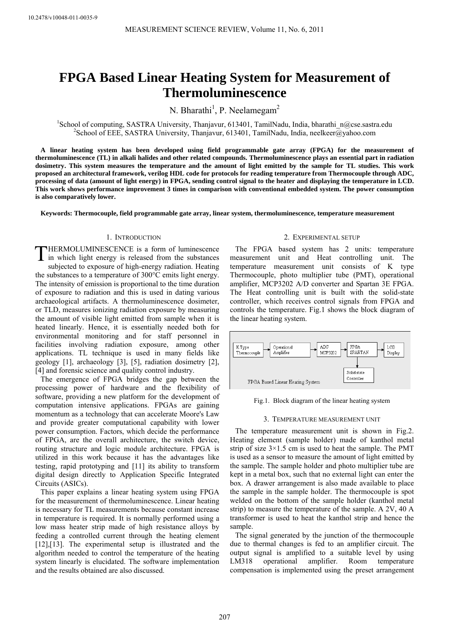# **FPGA Based Linear Heating System for Measurement of Thermoluminescence**

N. Bharathi<sup>1</sup>, P. Neelamegam<sup>2</sup>

<sup>1</sup>School of computing, SASTRA University, Thanjavur, 613401, TamilNadu, India, bharathi\_n@cse.sastra.edu <sup>2</sup>Sebeel of EEE SASTRA University, Thenieum 613401, TemilNadu, India, peelkeer@vabee.com <sup>2</sup>School of EEE, SASTRA University, Thanjavur, 613401, TamilNadu, India, neelkeer@yahoo.com

**A linear heating system has been developed using field programmable gate array (FPGA) for the measurement of thermoluminescence (TL) in alkali halides and other related compounds. Thermoluminescence plays an essential part in radiation dosimetry. This system measures the temperature and the amount of light emitted by the sample for TL studies. This work proposed an architectural framework, verilog HDL code for protocols for reading temperature from Thermocouple through ADC, processing of data (amount of light energy) in FPGA, sending control signal to the heater and displaying the temperature in LCD. This work shows performance improvement 3 times in comparison with conventional embedded system. The power consumption is also comparatively lower.** 

**Keywords: Thermocouple, field programmable gate array, linear system, thermoluminescence, temperature measurement** 

# 1. INTRODUCTION

HERMOLUMINESCENCE is a form of luminescence THERMOLUMINESCENCE is a form of luminescence<br>in which light energy is released from the substances subjected to exposure of high-energy radiation. Heating the substances to a temperature of 300°C emits light energy. The intensity of emission is proportional to the time duration of exposure to radiation and this is used in dating various archaeological artifacts. A thermoluminescence dosimeter, or TLD, measures ionizing radiation exposure by measuring the amount of visible light emitted from sample when it is heated linearly. Hence, it is essentially needed both for environmental monitoring and for staff personnel in facilities involving radiation exposure, among other applications. TL technique is used in many fields like geology [1], archaeology [3], [5], radiation dosimetry [2], [4] and forensic science and quality control industry.

The emergence of FPGA bridges the gap between the processing power of hardware and the flexibility of software, providing a new platform for the development of computation intensive applications. FPGAs are gaining momentum as a technology that can accelerate Moore's Law and provide greater computational capability with lower power consumption. Factors, which decide the performance of FPGA, are the overall architecture, the switch device, routing structure and logic module architecture. FPGA is utilized in this work because it has the advantages like testing, rapid prototyping and [11] its ability to transform digital design directly to Application Specific Integrated Circuits (ASICs).

This paper explains a linear heating system using FPGA for the measurement of thermoluminescence. Linear heating is necessary for TL measurements because constant increase in temperature is required. It is normally performed using a low mass heater strip made of high resistance alloys by feeding a controlled current through the heating element [12],[13]. The experimental setup is illustrated and the algorithm needed to control the temperature of the heating system linearly is elucidated. The software implementation and the results obtained are also discussed.

## 2. EXPERIMENTAL SETUP

The FPGA based system has 2 units: temperature measurement unit and Heat controlling unit. The temperature measurement unit consists of K type Thermocouple, photo multiplier tube (PMT), operational amplifier, MCP3202 A/D converter and Spartan 3E FPGA. The Heat controlling unit is built with the solid-state controller, which receives control signals from FPGA and controls the temperature. Fig.1 shows the block diagram of the linear heating system.



Fig.1. Block diagram of the linear heating system

#### 3. TEMPERATURE MEASUREMENT UNIT

The temperature measurement unit is shown in Fig.2. Heating element (sample holder) made of kanthol metal strip of size  $3 \times 1.5$  cm is used to heat the sample. The PMT is used as a sensor to measure the amount of light emitted by the sample. The sample holder and photo multiplier tube are kept in a metal box, such that no external light can enter the box. A drawer arrangement is also made available to place the sample in the sample holder. The thermocouple is spot welded on the bottom of the sample holder (kanthol metal strip) to measure the temperature of the sample. A 2V, 40 A transformer is used to heat the kanthol strip and hence the sample.

The signal generated by the junction of the thermocouple due to thermal changes is fed to an amplifier circuit. The output signal is amplified to a suitable level by using LM318 operational amplifier. Room temperature compensation is implemented using the preset arrangement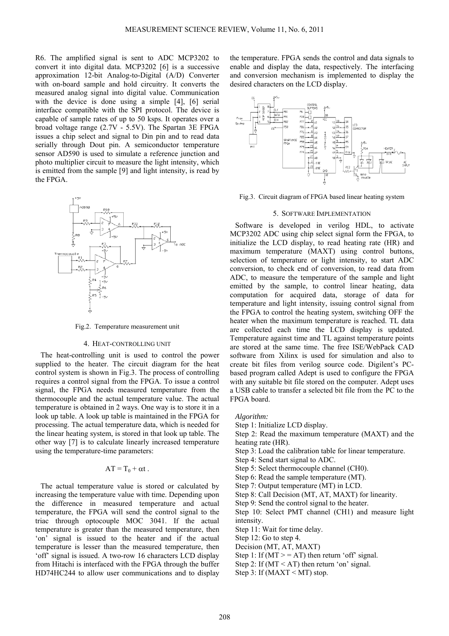R6. The amplified signal is sent to ADC MCP3202 to convert it into digital data. MCP3202 [6] is a successive approximation 12-bit Analog-to-Digital (A/D) Converter with on-board sample and hold circuitry. It converts the measured analog signal into digital value. Communication with the device is done using a simple [4], [6] serial interface compatible with the SPI protocol. The device is capable of sample rates of up to 50 ksps. It operates over a broad voltage range (2.7V - 5.5V). The Spartan 3E FPGA issues a chip select and signal to Din pin and to read data serially through Dout pin. A semiconductor temperature sensor AD590 is used to simulate a reference junction and photo multiplier circuit to measure the light intensity, which is emitted from the sample [9] and light intensity, is read by the FPGA.



Fig.2. Temperature measurement unit

### 4. HEAT-CONTROLLING UNIT

The heat-controlling unit is used to control the power supplied to the heater. The circuit diagram for the heat control system is shown in Fig.3. The process of controlling requires a control signal from the FPGA. To issue a control signal, the FPGA needs measured temperature from the thermocouple and the actual temperature value. The actual temperature is obtained in 2 ways. One way is to store it in a look up table. A look up table is maintained in the FPGA for processing. The actual temperature data, which is needed for the linear heating system, is stored in that look up table. The other way [7] is to calculate linearly increased temperature using the temperature-time parameters:

# $AT = T_0 + \alpha t$ .

The actual temperature value is stored or calculated by increasing the temperature value with time. Depending upon the difference in measured temperature and actual temperature, the FPGA will send the control signal to the triac through optocouple MOC 3041. If the actual temperature is greater than the measured temperature, then 'on' signal is issued to the heater and if the actual temperature is lesser than the measured temperature, then 'off' signal is issued. A two-row 16 characters LCD display from Hitachi is interfaced with the FPGA through the buffer HD74HC244 to allow user communications and to display

the temperature. FPGA sends the control and data signals to enable and display the data, respectively. The interfacing and conversion mechanism is implemented to display the desired characters on the LCD display.



Fig.3. Circuit diagram of FPGA based linear heating system

#### 5. SOFTWARE IMPLEMENTATION

Software is developed in verilog HDL, to activate MCP3202 ADC using chip select signal form the FPGA, to initialize the LCD display, to read heating rate (HR) and maximum temperature (MAXT) using control buttons, selection of temperature or light intensity, to start ADC conversion, to check end of conversion, to read data from ADC, to measure the temperature of the sample and light emitted by the sample, to control linear heating, data computation for acquired data, storage of data for temperature and light intensity, issuing control signal from the FPGA to control the heating system, switching OFF the heater when the maximum temperature is reached. TL data are collected each time the LCD display is updated. Temperature against time and TL against temperature points are stored at the same time. The free ISE/WebPack CAD software from Xilinx is used for simulation and also to create bit files from verilog source code. Digilent's PCbased program called Adept is used to configure the FPGA with any suitable bit file stored on the computer. Adept uses a USB cable to transfer a selected bit file from the PC to the FPGA board.

*Algorithm:* 

Step 1: Initialize LCD display.

Step 2: Read the maximum temperature (MAXT) and the heating rate (HR).

- Step 3: Load the calibration table for linear temperature.
- Step 4: Send start signal to ADC.
- Step 5: Select thermocouple channel (CH0).
- Step 6: Read the sample temperature (MT).
- Step 7: Output temperature (MT) in LCD.
- Step 8: Call Decision (MT, AT, MAXT) for linearity.
- Step 9: Send the control signal to the heater.

Step 10: Select PMT channel (CH1) and measure light intensity.

Step 11: Wait for time delay.

Step 12: Go to step 4.

- Decision (MT, AT, MAXT)
- Step 1: If  $(MT > = AT)$  then return 'off' signal.
- Step 2: If  $(MT < AT)$  then return 'on' signal.
- Step 3: If  $(MAXT \le MT)$  stop.